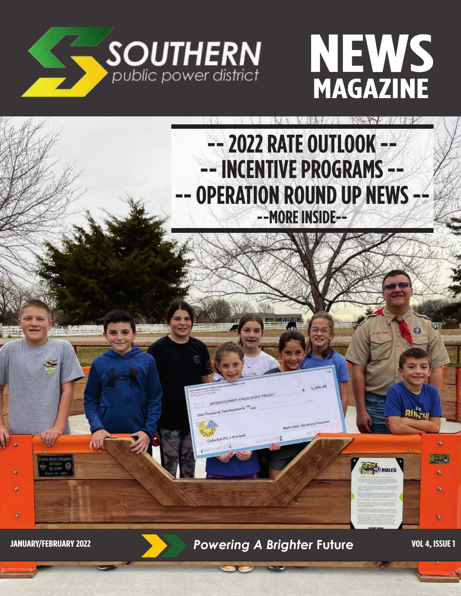





**JANUARY/FEBRUARY 2022 Powering A Brighter Future VOL 4, ISSUE 1**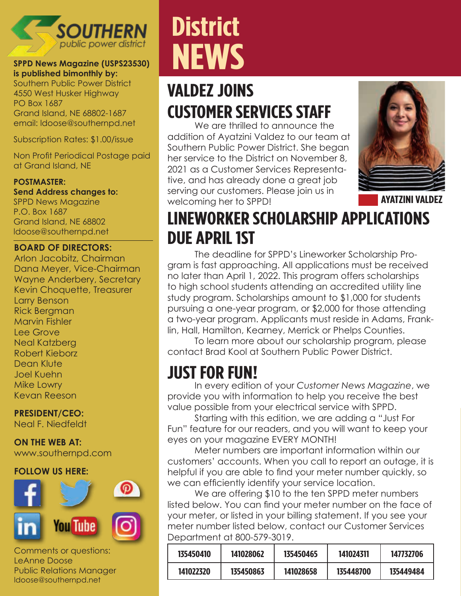

#### **SPPD News Magazine (USPS23530) is published bimonthly by:**

Southern Public Power District 4550 West Husker Highway PO Box 1687 Grand Island, NE 68802-1687 email: ldoose@southernpd.net

Subscription Rates: \$1.00/issue

Non Profit Periodical Postage paid at Grand Island, NE

#### **POSTMASTER:**

**Send Address changes to:** SPPD News Magazine P.O. Box 1687 Grand Island, NE 68802 ldoose@southernpd.net

#### **BOARD OF DIRECTORS:**

Arlon Jacobitz, Chairman Dana Meyer, Vice-Chairman Wayne Anderbery, Secretary Kevin Choquette, Treasurer Larry Benson Rick Bergman Marvin Fishler Lee Grove Neal Katzberg Robert Kieborz Dean Klute Joel Kuehn Mike Lowry Kevan Reeson

**PRESIDENT/CEO:**  Neal F. Niedfeldt

**ON THE WEB AT:** www.southernpd.com

#### **FOLLOW US HERE:**



Comments or questions: LeAnne Doose Public Relations Manager ldoose@southernpd.net

## **District NEWS**

### **VALDEZ JOINS CUSTOMER SERVICES STAFF**

We are thrilled to announce the addition of Ayatzini Valdez to our team at Southern Public Power District. She began her service to the District on November 8, 2021 as a Customer Services Representative, and has already done a great job serving our customers. Please join us in welcoming her to SPPD! **AYATZINI VALDEZ**



### **LINEWORKER SCHOLARSHIP APPLICATIONS DUE APRIL 1ST**

The deadline for SPPD's Lineworker Scholarship Program is fast approaching. All applications must be received no later than April 1, 2022. This program offers scholarships to high school students attending an accredited utility line study program. Scholarships amount to \$1,000 for students pursuing a one-year program, or \$2,000 for those attending a two-year program. Applicants must reside in Adams, Franklin, Hall, Hamilton, Kearney, Merrick or Phelps Counties.

To learn more about our scholarship program, please contact Brad Kool at Southern Public Power District.

### **JUST FOR FUN!**

In every edition of your *Customer News Magazine*, we provide you with information to help you receive the best value possible from your electrical service with SPPD.

Starting with this edition, we are adding a "Just For Fun" feature for our readers, and you will want to keep your eyes on your magazine EVERY MONTH!

Meter numbers are important information within our customers' accounts. When you call to report an outage, it is helpful if you are able to find your meter number quickly, so we can efficiently identify your service location.

We are offering \$10 to the ten SPPD meter numbers listed below. You can find your meter number on the face of your meter, or listed in your billing statement. If you see your meter number listed below, contact our Customer Services Department at 800-579-3019.

| 135450410 | 141028062 | 135450465 | 141024311 | 147732706 |
|-----------|-----------|-----------|-----------|-----------|
| 141022320 | 135450863 | 141028658 | 135448700 | 135449484 |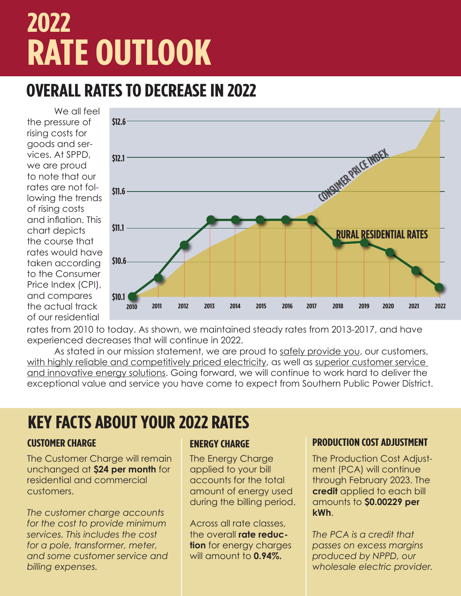# **2022 RATE OUTLOOK**

### **OVERALL RATES TO DECREASE IN 2022**

We all feel the pressure of rising costs for goods and services. At SPPD, we are proud to note that our rates are not following the trends of rising costs and inflation. This chart depicts the course that rates would have taken according to the Consumer Price Index (CPI), and compares the actual track of our residential



rates from 2010 to today. As shown, we maintained steady rates from 2013-2017, and have experienced decreases that will continue in 2022.

As stated in our mission statement, we are proud to safely provide you, our customers, with highly reliable and competitively priced electricity, as well as superior customer service and innovative energy solutions. Going forward, we will continue to work hard to deliver the exceptional value and service you have come to expect from Southern Public Power District.

### **KEY FACTS ABOUT YOUR 2022 RATES**

The Customer Charge will remain unchanged at **\$24 per month** for residential and commercial customers.

*The customer charge accounts for the cost to provide minimum services. This includes the cost for a pole, transformer, meter, and some customer service and billing expenses.*

The Energy Charge applied to your bill accounts for the total amount of energy used during the billing period.

Across all rate classes, the overall **rate reduction** for energy charges will amount to **0.94%.**

#### **CUSTOMER CHARGE ENERGY CHARGE PRODUCTION COST ADJUSTMENT**

The Production Cost Adjustment (PCA) will continue through February 2023. The **credit** applied to each bill amounts to **\$0.00229 per kWh**.

*The PCA is a credit that passes on excess margins produced by NPPD, our wholesale electric provider.*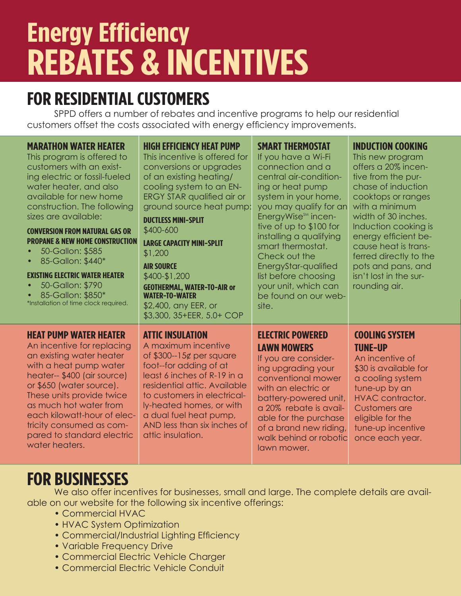# **Energy Efficiency REBATES & INCENTIVES**

### **FOR RESIDENTIAL CUSTOMERS**

SPPD offers a number of rebates and incentive programs to help our residential customers offset the costs associated with energy efficiency improvements.

| <b>MARATHON WATER HEATER</b><br>This program is offered to<br>customers with an exist-<br>ing electric or fossil-fueled<br>water heater, and also<br>available for new home<br>construction. The following<br>sizes are available:<br><b>CONVERSION FROM NATURAL GAS OR</b><br><b>PROPANE &amp; NEW HOME CONSTRUCTION</b><br>50-Gallon: \$585<br>$\bullet$<br>85-Gallon: \$440*<br>$\bullet$<br><b>EXISTING ELECTRIC WATER HEATER</b><br>50-Gallon: \$790<br>$\bullet$<br>85-Gallon: \$850*<br>*Installation of time clock required. | <b>HIGH EFFICIENCY HEAT PUMP</b><br>This incentive is offered for<br>conversions or upgrades<br>of an existing heating/<br>cooling system to an EN-<br><b>ERGY STAR qualified air or</b><br>ground source heat pump:<br><b>DUCTLESS MINI-SPLIT</b><br>\$400-600<br><b>LARGE CAPACITY MINI-SPLIT</b><br>\$1,200<br><b>AIR SOURCE</b><br>\$400-\$1,200<br><b>GEOTHERMAL, WATER-TO-AIR or</b><br><b>WATER-TO-WATER</b><br>\$2,400, any EER, or<br>\$3,300, 35+EER, 5.0+ COP | <b>SMART THERMOSTAT</b><br>If you have a Wi-Fi<br>connection and a<br>central air-condition-<br>ing or heat pump<br>system in your home,<br>you may qualify for an<br>EnergyWise <sup>SM</sup> incen-<br>tive of up to \$100 for<br>installing a qualifying<br>smart thermostat.<br>Check out the<br>EnergyStar-qualified<br>list before choosing<br>your unit, which can<br>be found on our web-<br>site. | <b>INDUCTION COOKING</b><br>This new program<br>offers a 20% incen-<br>tive from the pur-<br>chase of induction<br>cooktops or ranges<br>with a minimum<br>width of 30 inches.<br>Induction cooking is<br>energy efficient be-<br>cause heat is trans-<br>ferred directly to the<br>pots and pans, and<br>isn't lost in the sur-<br>rounding air. |
|--------------------------------------------------------------------------------------------------------------------------------------------------------------------------------------------------------------------------------------------------------------------------------------------------------------------------------------------------------------------------------------------------------------------------------------------------------------------------------------------------------------------------------------|--------------------------------------------------------------------------------------------------------------------------------------------------------------------------------------------------------------------------------------------------------------------------------------------------------------------------------------------------------------------------------------------------------------------------------------------------------------------------|------------------------------------------------------------------------------------------------------------------------------------------------------------------------------------------------------------------------------------------------------------------------------------------------------------------------------------------------------------------------------------------------------------|---------------------------------------------------------------------------------------------------------------------------------------------------------------------------------------------------------------------------------------------------------------------------------------------------------------------------------------------------|
| <b>HEAT PUMP WATER HEATER</b><br>An incentive for replacing<br>an existing water heater<br>with a heat pump water<br>heater-- \$400 (air source)<br>or \$650 (water source).<br>These units provide twice<br>as much hot water from<br>each kilowatt-hour of elec-<br>tricity consumed as com-<br>pared to standard electric<br>water heaters.                                                                                                                                                                                       | <b>ATTIC INSULATION</b><br>A maximum incentive<br>of \$300--15 $\not\in$ per square<br>foot--for adding of at<br>least 6 inches of R-19 in a<br>residential attic. Available<br>to customers in electrical-<br>ly-heated homes, or with<br>a dual fuel heat pump,<br>AND less than six inches of<br>attic insulation.                                                                                                                                                    | <b>ELECTRIC POWERED</b><br><b>LAWN MOWERS</b><br>If you are consider-<br>ing upgrading your<br>conventional mower<br>with an electric or<br>battery-powered unit,<br>a 20% rebate is avail-<br>able for the purchase<br>of a brand new riding,<br>walk behind or robotic<br>lawn mower.                                                                                                                    | <b>COOLING SYSTEM</b><br><b>TUNE-UP</b><br>An incentive of<br>\$30 is available for<br>a cooling system<br>tune-up by an<br><b>HVAC</b> contractor.<br><b>Customers are</b><br>eligible for the<br>tune-up incentive<br>once each year.                                                                                                           |

### **FOR BUSINESSES**

We also offer incentives for businesses, small and large. The complete details are available on our website for the following six incentive offerings:

- Commercial HVAC
- HVAC System Optimization
- Commercial/Industrial Lighting Efficiency
- Variable Frequency Drive
- Commercial Electric Vehicle Charger
- Commercial Electric Vehicle Conduit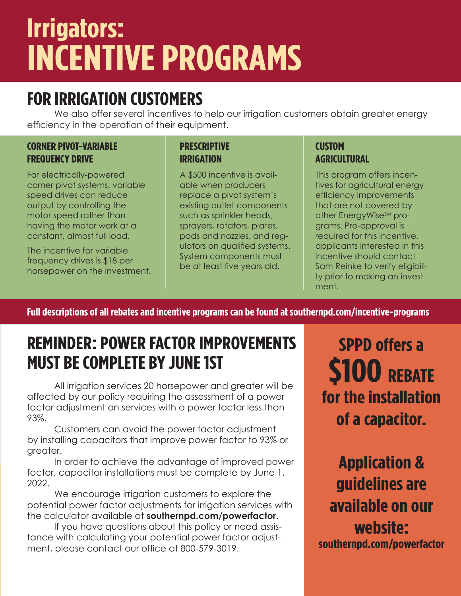## **Irrigators: INCENTIVE PROGRAMS**

### **FOR IRRIGATION CUSTOMERS**

We also offer several incentives to help our irrigation customers obtain greater energy efficiency in the operation of their equipment.

#### **CORNER PIVOT-VARIABLE FREQUENCY DRIVE**

For electrically-powered corner pivot systems, variable speed drives can reduce output by controlling the motor speed rather than having the motor work at a constant, almost full load.

The incentive for variable frequency drives is \$18 per horsepower on the investment.

#### **PRESCRIPTIVE IRRIGATION**

A \$500 incentive is available when producers replace a pivot system's existing outlet components such as sprinkler heads, sprayers, rotators, plates, pads and nozzles, and regulators on qualified systems. System components must be at least five years old.

#### **CUSTOM AGRICULTURAL**

This program offers incentives for agricultural energy efficiency improvements that are not covered by other EnergyWise<sup>SM</sup> programs. Pre-approval is required for this incentive, applicants interested in this incentive should contact Sam Reinke to verify eligibility prior to making an investment.

**Full descriptions of all rebates and incentive programs can be found at southernpd.com/incentive-programs**

### **REMINDER: POWER FACTOR IMPROVEMENTS MUST BE COMPLETE BY JUNE 1ST**

All irrigation services 20 horsepower and greater will be affected by our policy requiring the assessment of a power factor adjustment on services with a power factor less than 93%.

Customers can avoid the power factor adjustment by installing capacitors that improve power factor to 93% or greater.

In order to achieve the advantage of improved power factor, capacitor installations must be complete by June 1, 2022.

We encourage irrigation customers to explore the potential power factor adjustments for irrigation services with the calculator available at **southernpd.com/powerfactor**.

If you have questions about this policy or need assistance with calculating your potential power factor adjustment, please contact our office at 800-579-3019.

**SPPD offers a \$100 REBATE for the installation of a capacitor.**

**Application & guidelines are available on our website: southernpd.com/powerfactor**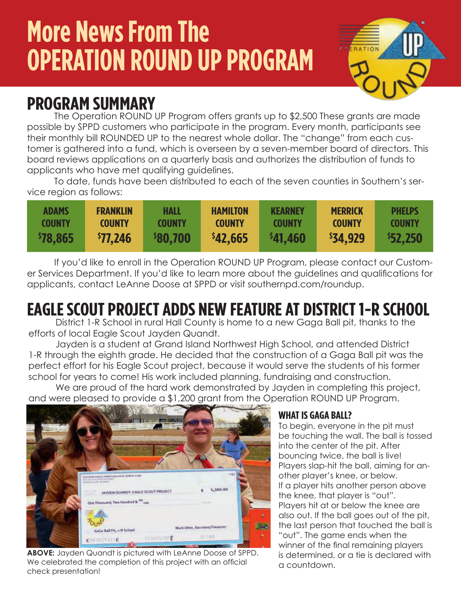## **More News From The OPERATION ROUND UP PROGRAM**



### **PROGRAM SUMMARY**

The Operation ROUND UP Program offers grants up to \$2,500 These grants are made possible by SPPD customers who participate in the program. Every month, participants see their monthly bill ROUNDED UP to the nearest whole dollar. The "change" from each customer is gathered into a fund, which is overseen by a seven-member board of directors. This board reviews applications on a quarterly basis and authorizes the distribution of funds to applicants who have met qualifying guidelines.

To date, funds have been distributed to each of the seven counties in Southern's service region as follows:

| <b>ADAMS</b>    | <b>FRANKLIN</b> | HALL            | <b>HAMILTON</b> | <b>KEARNEY</b> | <b>MERRICK</b> | <b>PHELPS</b> |
|-----------------|-----------------|-----------------|-----------------|----------------|----------------|---------------|
| <b>COUNTY</b>   | <b>COUNTY</b>   | <b>COUNTY</b>   | <b>COUNTY</b>   | <b>COUNTY</b>  | <b>COUNTY</b>  | <b>COUNTY</b> |
| <b>\$78,865</b> | \$77,246        | <b>\$80,700</b> | \$42,665        | \$41,460       | \$34,929       | \$52,250      |

If you'd like to enroll in the Operation ROUND UP Program, please contact our Customer Services Department. If you'd like to learn more about the guidelines and qualifications for applicants, contact LeAnne Doose at SPPD or visit southernpd.com/roundup.

## **EAGLE SCOUT PROJECT ADDS NEW FEATURE AT DISTRICT 1-R SCHOOL**

District 1-R School in rural Hall County is home to a new Gaga Ball pit, thanks to the efforts of local Eagle Scout Jayden Quandt.

Jayden is a student at Grand Island Northwest High School, and attended District 1-R through the eighth grade. He decided that the construction of a Gaga Ball pit was the perfect effort for his Eagle Scout project, because it would serve the students of his former school for years to come! His work included planning, fundraising and construction.

We are proud of the hard work demonstrated by Jayden in completing this project, and were pleased to provide a \$1,200 grant from the Operation ROUND UP Program.



**ABOVE:** Jayden Quandt is pictured with LeAnne Doose of SPPD. We celebrated the completion of this project with an official check presentation!

#### **WHAT IS GAGA BALL?**

To begin, everyone in the pit must be touching the wall. The ball is tossed into the center of the pit. After bouncing twice, the ball is live! Players slap-hit the ball, aiming for another player's knee, or below. If a player hits another person above the knee, that player is "out". Players hit at or below the knee are also out. If the ball goes out of the pit, the last person that touched the ball is "out". The game ends when the winner of the final remaining players is determined, or a tie is declared with a countdown.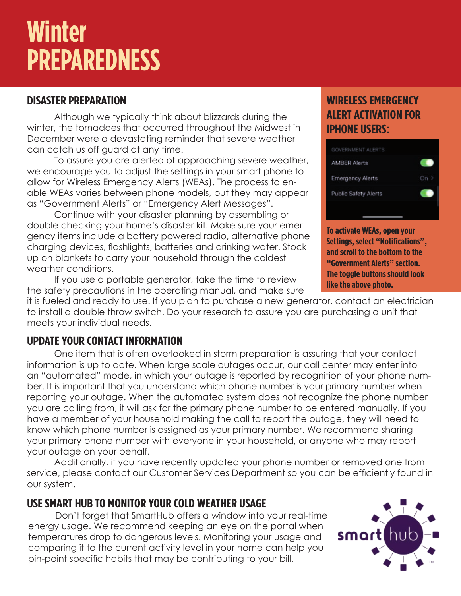## **Winter PREPAREDNESS**

### **DISASTER PREPARATION**

Although we typically think about blizzards during the winter, the tornadoes that occurred throughout the Midwest in December were a devastating reminder that severe weather can catch us off guard at any time.

To assure you are alerted of approaching severe weather, we encourage you to adjust the settings in your smart phone to allow for Wireless Emergency Alerts (WEAs). The process to enable WEAs varies between phone models, but they may appear as "Government Alerts" or "Emergency Alert Messages".

Continue with your disaster planning by assembling or double checking your home's disaster kit. Make sure your emergency items include a battery powered radio, alternative phone charging devices, flashlights, batteries and drinking water. Stock up on blankets to carry your household through the coldest weather conditions.

If you use a portable generator, take the time to review the safety precautions in the operating manual, and make sure

it is fueled and ready to use. If you plan to purchase a new generator, contact an electrician to install a double throw switch. Do your research to assure you are purchasing a unit that meets your individual needs.

### **UPDATE YOUR CONTACT INFORMATION**

One item that is often overlooked in storm preparation is assuring that your contact information is up to date. When large scale outages occur, our call center may enter into an "automated" mode, in which your outage is reported by recognition of your phone number. It is important that you understand which phone number is your primary number when reporting your outage. When the automated system does not recognize the phone number you are calling from, it will ask for the primary phone number to be entered manually. If you have a member of your household making the call to report the outage, they will need to know which phone number is assigned as your primary number. We recommend sharing your primary phone number with everyone in your household, or anyone who may report your outage on your behalf.

Additionally, if you have recently updated your phone number or removed one from service, please contact our Customer Services Department so you can be efficiently found in our system.

### **USE SMART HUB TO MONITOR YOUR COLD WEATHER USAGE**

Don't forget that SmartHub offers a window into your real-time energy usage. We recommend keeping an eye on the portal when temperatures drop to dangerous levels. Monitoring your usage and comparing it to the current activity level in your home can help you pin-point specific habits that may be contributing to your bill.

### **WIRELESS EMERGENCY ALERT ACTIVATION FOR IPHONE USERS:**



**To activate WEAs, open your Settings, select "Notifications", and scroll to the bottom to the "Government Alerts" section. The toggle buttons should look like the above photo.**